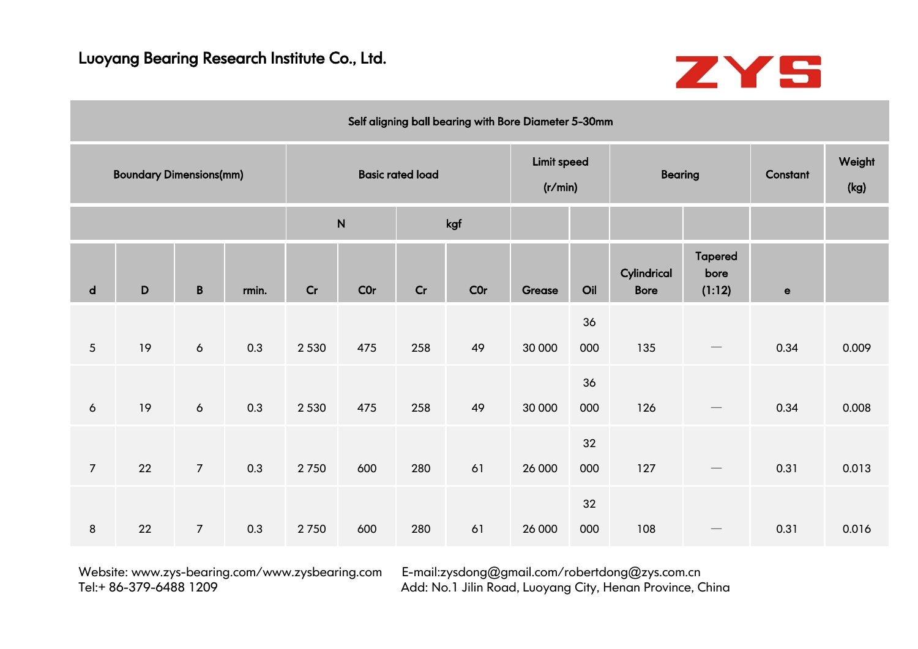

|                 |                                |                 |       |         |           |                         | Self aligning ball bearing with Bore Diameter 5-30mm |                        |           |                            |                                  |             |                |
|-----------------|--------------------------------|-----------------|-------|---------|-----------|-------------------------|------------------------------------------------------|------------------------|-----------|----------------------------|----------------------------------|-------------|----------------|
|                 | <b>Boundary Dimensions(mm)</b> |                 |       |         |           | <b>Basic rated load</b> |                                                      | Limit speed<br>(r/min) |           | <b>Bearing</b>             |                                  | Constant    | Weight<br>(kg) |
|                 |                                |                 |       |         | ${\sf N}$ |                         | kgf                                                  |                        |           |                            |                                  |             |                |
| $\mathsf{d}$    | D                              | $\, {\bf B} \,$ | rmin. | Cr      | C0r       | Cr                      | <b>COr</b>                                           | Grease                 | Oil       | Cylindrical<br><b>Bore</b> | <b>Tapered</b><br>bore<br>(1:12) | $\mathbf e$ |                |
|                 |                                |                 |       |         |           |                         |                                                      |                        | 36        |                            |                                  |             |                |
| $5\overline{)}$ | 19                             | $\epsilon$      | 0.3   | 2 5 3 0 | 475       | 258                     | 49                                                   | 30 000                 | 000       | 135                        |                                  | 0.34        | 0.009          |
| $\epsilon$      | 19                             | $\epsilon$      | 0.3   | 2 5 3 0 | 475       | 258                     | 49                                                   | 30 000                 | 36<br>000 | 126                        |                                  | 0.34        | 0.008          |
|                 |                                |                 |       |         |           |                         |                                                      |                        | 32        |                            |                                  |             |                |
| $\overline{7}$  | 22                             | $\overline{7}$  | 0.3   | 2750    | 600       | 280                     | 61                                                   | 26 000                 | 000       | 127                        | $\qquad \qquad \longleftarrow$   | 0.31        | 0.013          |
| 8               | 22                             | $\overline{7}$  | 0.3   | 2750    | 600       | 280                     | 61                                                   | 26 000                 | 32<br>000 | 108                        |                                  | 0.31        | 0.016          |
|                 |                                |                 |       |         |           |                         |                                                      |                        |           |                            |                                  |             |                |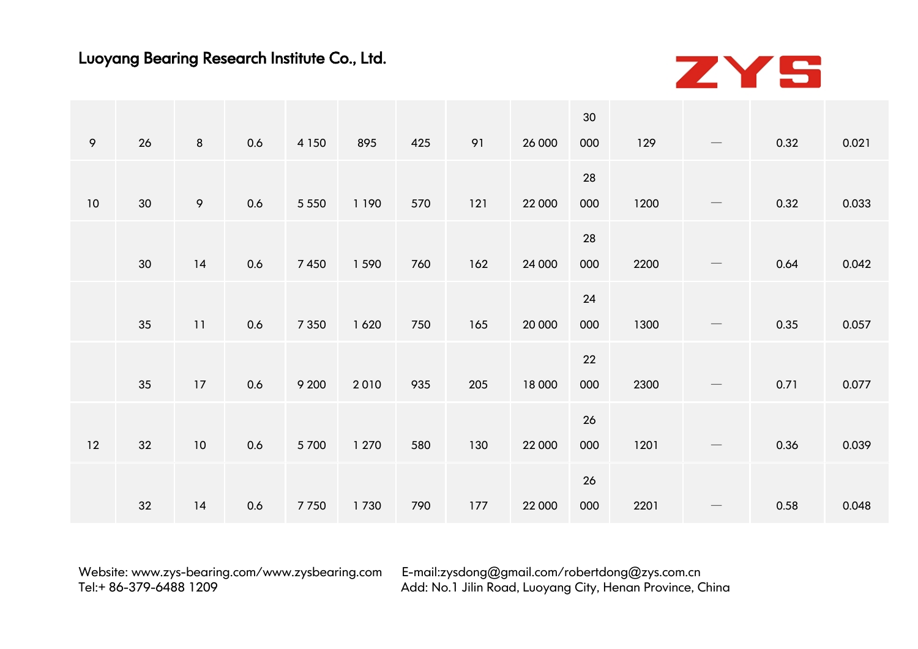

|    |    |                 |     |         |         |     |     |        | 30  |      |                                 |      |       |
|----|----|-----------------|-----|---------|---------|-----|-----|--------|-----|------|---------------------------------|------|-------|
| 9  | 26 | 8               | 0.6 | 4 1 5 0 | 895     | 425 | 91  | 26 000 | 000 | 129  |                                 | 0.32 | 0.021 |
|    |    |                 |     |         |         |     |     |        | 28  |      |                                 |      |       |
| 10 | 30 | 9               | 0.6 | 5 5 5 0 | 1 1 9 0 | 570 | 121 | 22 000 | 000 | 1200 | $\hspace{0.1mm}-\hspace{0.1mm}$ | 0.32 | 0.033 |
|    |    |                 |     |         |         |     |     |        | 28  |      |                                 |      |       |
|    | 30 | 14              | 0.6 | 7450    | 1 5 9 0 | 760 | 162 | 24 000 | 000 | 2200 | $\hspace{0.1cm}-\hspace{0.1cm}$ | 0.64 | 0.042 |
|    |    |                 |     |         |         |     |     |        | 24  |      |                                 |      |       |
|    | 35 | 11              | 0.6 | 7 3 5 0 | 1620    | 750 | 165 | 20 000 | 000 | 1300 |                                 | 0.35 | 0.057 |
|    |    |                 |     |         |         |     |     |        | 22  |      |                                 |      |       |
|    | 35 | 17              | 0.6 | 9 2 0 0 | 2010    | 935 | 205 | 18 000 | 000 | 2300 |                                 | 0.71 | 0.077 |
|    |    |                 |     |         |         |     |     |        | 26  |      |                                 |      |       |
| 12 | 32 | 10 <sup>°</sup> | 0.6 | 5700    | 1 270   | 580 | 130 | 22 000 | 000 | 1201 | $\hspace{0.1mm}-\hspace{0.1mm}$ | 0.36 | 0.039 |
|    |    |                 |     |         |         |     |     |        | 26  |      |                                 |      |       |
|    | 32 | 14              | 0.6 | 7750    | 1730    | 790 | 177 | 22 000 | 000 | 2201 | $\overline{\phantom{0}}$        | 0.58 | 0.048 |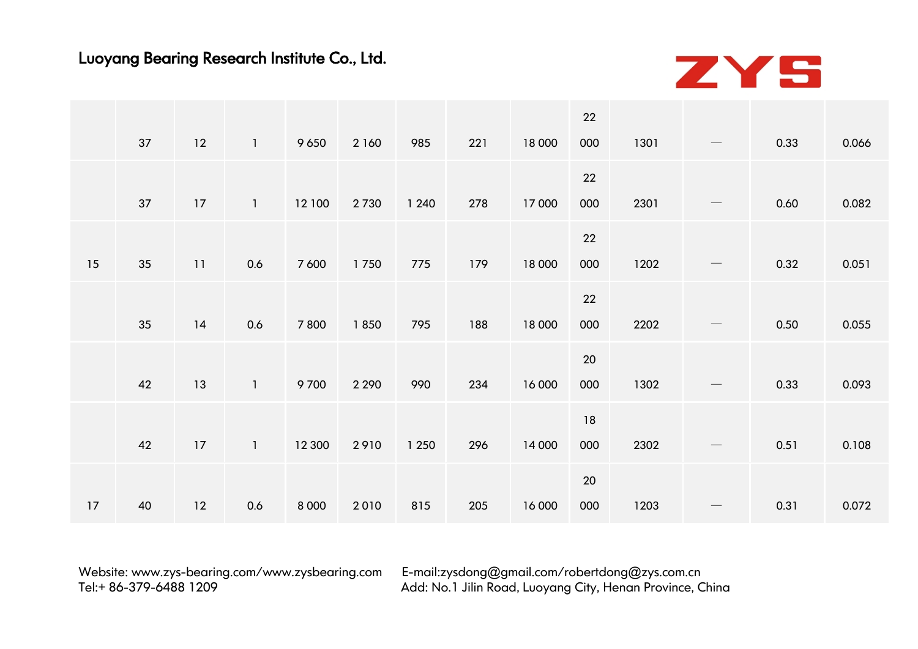

|    |      |                |         |         |         |     |        | 22  |      |                                 |      |       |
|----|------|----------------|---------|---------|---------|-----|--------|-----|------|---------------------------------|------|-------|
| 37 | 12   | $\overline{1}$ | 9 6 5 0 | 2 160   | 985     | 221 | 18 000 | 000 | 1301 | $\overbrace{\phantom{13333}}$   | 0.33 | 0.066 |
|    |      |                |         |         |         |     |        | 22  |      |                                 |      |       |
| 37 | 17   | $\mathbf{1}$   | 12 100  | 2730    | 1 2 4 0 | 278 | 17 000 | 000 | 2301 | $\hspace{0.1mm}-\hspace{0.1mm}$ | 0.60 | 0.082 |
|    |      |                |         |         |         |     |        | 22  |      |                                 |      |       |
| 35 | 11   | 0.6            | 7 600   | 1750    | 775     | 179 | 18 000 | 000 | 1202 | $\overbrace{\phantom{13333}}$   | 0.32 | 0.051 |
|    |      |                |         |         |         |     |        | 22  |      |                                 |      |       |
| 35 | 14   | 0.6            | 7800    | 1850    | 795     | 188 | 18 000 | 000 | 2202 | $\qquad \qquad -$               | 0.50 | 0.055 |
|    |      |                |         |         |         |     |        | 20  |      |                                 |      |       |
| 42 | 13   | $\mathbf{1}$   | 9700    | 2 2 9 0 | 990     | 234 | 16 000 | 000 | 1302 |                                 | 0.33 | 0.093 |
|    |      |                |         |         |         |     |        | 18  |      |                                 |      |       |
| 42 | $17$ | $\mathbf{1}$   | 12 300  | 2910    | 1 2 5 0 | 296 | 14 000 | 000 | 2302 | $\hspace{0.1mm}-\hspace{0.1mm}$ | 0.51 | 0.108 |
|    |      |                |         |         |         |     |        | 20  |      |                                 |      |       |
| 40 | 12   | 0.6            | 8 0 0 0 | 2010    | 815     | 205 | 16 000 | 000 | 1203 |                                 | 0.31 | 0.072 |
|    |      |                |         |         |         |     |        |     |      |                                 |      |       |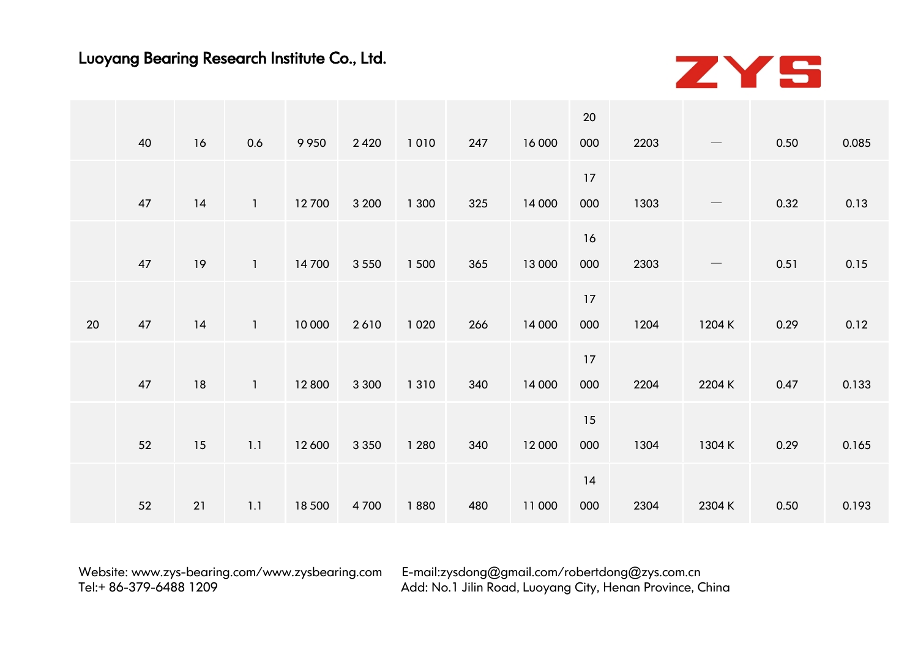

|    |    |    |              |         |         |         |     |        | 20  |      |                                 |      |       |
|----|----|----|--------------|---------|---------|---------|-----|--------|-----|------|---------------------------------|------|-------|
|    | 40 | 16 | 0.6          | 9 9 5 0 | 2 4 2 0 | 1010    | 247 | 16 000 | 000 | 2203 |                                 | 0.50 | 0.085 |
|    |    |    |              |         |         |         |     |        | 17  |      |                                 |      |       |
|    | 47 | 14 | $\mathbf{1}$ | 12700   | 3 200   | 1 300   | 325 | 14 000 | 000 | 1303 | $\hspace{0.1mm}-\hspace{0.1mm}$ | 0.32 | 0.13  |
|    |    |    |              |         |         |         |     |        | 16  |      |                                 |      |       |
|    | 47 | 19 | $\mathbf{1}$ | 14700   | 3 5 5 0 | 1 500   | 365 | 13 000 | 000 | 2303 |                                 | 0.51 | 0.15  |
|    |    |    |              |         |         |         |     |        | 17  |      |                                 |      |       |
| 20 | 47 | 14 | $\mathbf{1}$ | 10 000  | 2610    | 1 0 2 0 | 266 | 14 000 | 000 | 1204 | 1204 K                          | 0.29 | 0.12  |
|    |    |    |              |         |         |         |     |        | 17  |      |                                 |      |       |
|    | 47 | 18 | $\mathbf{1}$ | 12 800  | 3 3 0 0 | 1 3 1 0 | 340 | 14 000 | 000 | 2204 | 2204 K                          | 0.47 | 0.133 |
|    |    |    |              |         |         |         |     |        | 15  |      |                                 |      |       |
|    | 52 | 15 | 1.1          | 12 600  | 3 3 5 0 | 1 2 8 0 | 340 | 12 000 | 000 | 1304 | 1304 K                          | 0.29 | 0.165 |
|    |    |    |              |         |         |         |     |        | 14  |      |                                 |      |       |
|    | 52 | 21 | 1.1          | 18 500  | 4700    | 1880    | 480 | 11 000 | 000 | 2304 | 2304 K                          | 0.50 | 0.193 |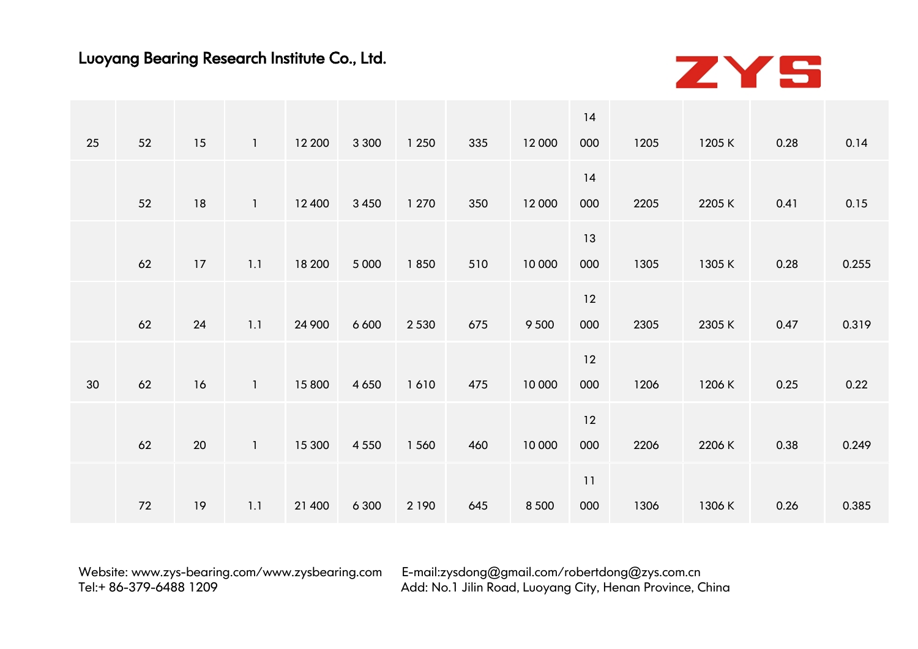

|    |    |        |              |        |         |         |     |         | 14  |      |        |      |       |
|----|----|--------|--------------|--------|---------|---------|-----|---------|-----|------|--------|------|-------|
| 25 | 52 | 15     |              | 12 200 | 3 3 0 0 | 1 2 5 0 | 335 | 12 000  | 000 | 1205 | 1205 K | 0.28 | 0.14  |
|    |    |        |              |        |         |         |     |         | 14  |      |        |      |       |
|    | 52 | 18     |              | 12 400 | 3 4 5 0 | 1 270   | 350 | 12 000  | 000 | 2205 | 2205K  | 0.41 | 0.15  |
|    |    |        |              |        |         |         |     |         | 13  |      |        |      |       |
|    | 62 | 17     | 1.1          | 18 200 | 5 0 0 0 | 1850    | 510 | 10 000  | 000 | 1305 | 1305 K | 0.28 | 0.255 |
|    |    |        |              |        |         |         |     |         | 12  |      |        |      |       |
|    | 62 | 24     | 1.1          | 24 900 | 6 6 0 0 | 2 5 3 0 | 675 | 9 5 0 0 | 000 | 2305 | 2305 K | 0.47 | 0.319 |
|    |    |        |              |        |         |         |     |         | 12  |      |        |      |       |
| 30 | 62 | 16     | $\mathbf{1}$ | 15 800 | 4 6 5 0 | 1610    | 475 | 10 000  | 000 | 1206 | 1206 K | 0.25 | 0.22  |
|    |    |        |              |        |         |         |     |         | 12  |      |        |      |       |
|    | 62 | $20\,$ | -1           | 15 300 | 4 5 5 0 | 1 560   | 460 | 10 000  | 000 | 2206 | 2206 K | 0.38 | 0.249 |
|    |    |        |              |        |         |         |     |         | 11  |      |        |      |       |
|    | 72 | 19     | 1.1          | 21 400 | 6 3 0 0 | 2 1 9 0 | 645 | 8 5 0 0 | 000 | 1306 | 1306 K | 0.26 | 0.385 |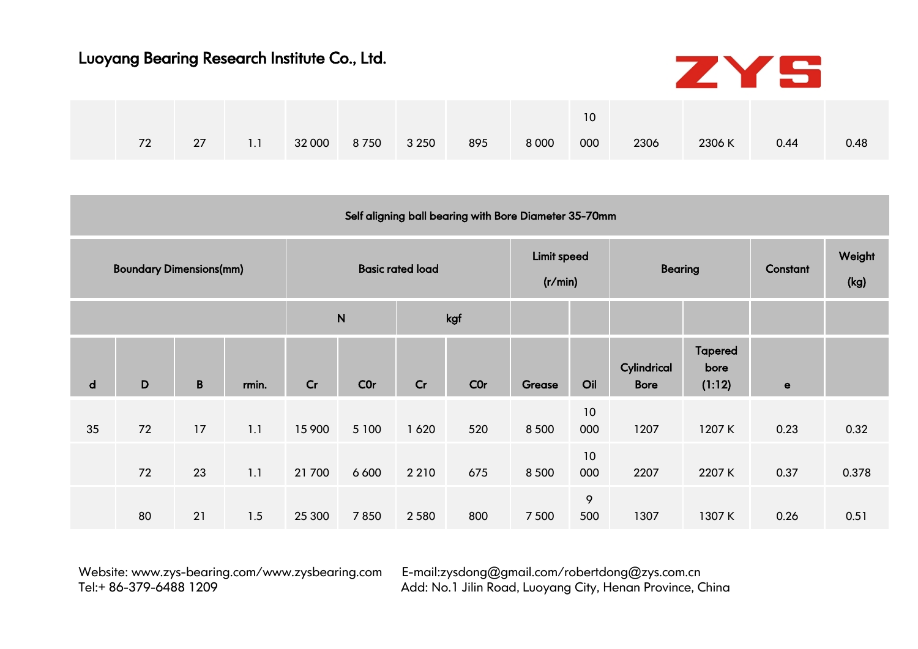

|    |    |     |              |         |     |         | 10  |      |        |      |      |  |
|----|----|-----|--------------|---------|-----|---------|-----|------|--------|------|------|--|
| 72 | 27 | 1.1 | 32 000 8 750 | 3 2 5 0 | 895 | 8 0 0 0 | 000 | 2306 | 2306 K | 0.44 | 0.48 |  |

|              |                                |              |       |        |              |                         | Self aligning ball bearing with Bore Diameter 35-70mm |                               |           |                            |                                  |             |                |
|--------------|--------------------------------|--------------|-------|--------|--------------|-------------------------|-------------------------------------------------------|-------------------------------|-----------|----------------------------|----------------------------------|-------------|----------------|
|              | <b>Boundary Dimensions(mm)</b> |              |       |        |              | <b>Basic rated load</b> |                                                       | <b>Limit speed</b><br>(r/min) |           | <b>Bearing</b>             |                                  | Constant    | Weight<br>(kg) |
|              |                                |              |       |        | $\mathsf{N}$ |                         | kgf                                                   |                               |           |                            |                                  |             |                |
| $\mathsf{d}$ | D                              | $\, {\bf B}$ | rmin. | Cr     | <b>COr</b>   | Cr                      | COr                                                   | Grease                        | Oil       | Cylindrical<br><b>Bore</b> | <b>Tapered</b><br>bore<br>(1:12) | $\mathbf e$ |                |
| 35           | 72                             | 17           | 1.1   | 15 900 | 5 100        | 1620                    | 520                                                   | 8 5 0 0                       | 10<br>000 | 1207                       | 1207K                            | 0.23        | 0.32           |
|              | 72                             | 23           | 1.1   | 21 700 | 6 6 0 0      | 2 2 1 0                 | 675                                                   | 8 5 0 0                       | 10<br>000 | 2207                       | 2207K                            | 0.37        | 0.378          |
|              | 80                             | 21           | 1.5   | 25 300 | 7850         | 2 5 8 0                 | 800                                                   | 7 5 0 0                       | 9<br>500  | 1307                       | 1307K                            | 0.26        | 0.51           |

Website: [www.zys-bearing.com/](http://www.zys-bearing.com)www.zysbearing.com E-mail:zysdong@gmail.com/[robertdong](mailto:robertdong@zys.com.cn)@zys.com.cn<br>Add: No.1 Jilin Road. Luovana City. Henan Province. C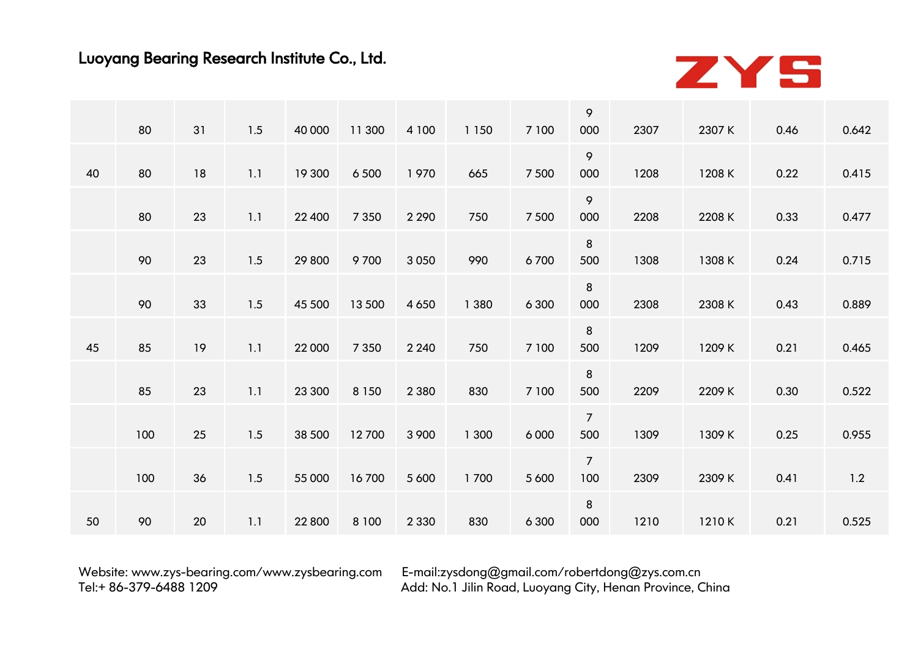

|    |     |    |     |        |         |         |         |         | 9              |      |        |      |       |
|----|-----|----|-----|--------|---------|---------|---------|---------|----------------|------|--------|------|-------|
|    | 80  | 31 | 1.5 | 40 000 | 11 300  | 4 100   | 1 1 5 0 | 7 100   | 000            | 2307 | 2307 K | 0.46 | 0.642 |
|    |     |    |     |        |         |         |         |         | 9              | 1208 |        |      |       |
| 40 | 80  | 18 | 1.1 | 19 300 | 6 5 0 0 | 1970    | 665     | 7 500   | 000            |      | 1208 K | 0.22 | 0.415 |
|    |     |    |     |        |         |         |         |         | 9              |      |        |      |       |
|    | 80  | 23 | 1.1 | 22 400 | 7 3 5 0 | 2 2 9 0 | 750     | 7 500   | 000            | 2208 | 2208 K | 0.33 | 0.477 |
|    |     |    |     |        |         |         |         |         | 8              |      |        |      |       |
|    | 90  | 23 | 1.5 | 29 800 | 9700    | 3 0 5 0 | 990     | 6700    | 500            | 1308 | 1308 K | 0.24 | 0.715 |
|    |     |    |     |        |         |         |         |         | 8              |      |        |      |       |
|    | 90  | 33 | 1.5 | 45 500 | 13 500  | 4 6 5 0 | 1 3 8 0 | 6 3 0 0 | 000            | 2308 | 2308 K | 0.43 | 0.889 |
|    |     |    |     |        |         |         |         |         | 8              |      |        |      |       |
| 45 | 85  | 19 | 1.1 | 22 000 | 7 3 5 0 | 2 2 4 0 | 750     | 7 100   | 500            | 1209 | 1209 K | 0.21 | 0.465 |
|    |     |    |     |        |         |         |         |         | 8              |      |        |      |       |
|    | 85  | 23 | 1.1 | 23 300 | 8 1 5 0 | 2 3 8 0 | 830     | 7 100   | 500            | 2209 | 2209 K | 0.30 | 0.522 |
|    |     |    |     |        |         |         |         |         | $\overline{7}$ |      |        |      |       |
|    | 100 | 25 | 1.5 | 38 500 | 12700   | 3 9 0 0 | 1 300   | 6 0 0 0 | 500            | 1309 | 1309 K | 0.25 | 0.955 |
|    |     |    |     |        |         |         |         |         | $\overline{7}$ |      |        |      |       |
|    | 100 | 36 | 1.5 | 55 000 | 16700   | 5 600   | 1700    | 5 600   | 100            | 2309 | 2309 K | 0.41 | 1.2   |
|    |     |    |     |        |         |         |         |         | 8              |      |        |      |       |
| 50 | 90  | 20 | 1.1 | 22 800 | 8 1 0 0 | 2 3 3 0 | 830     | 6 3 0 0 | 000            | 1210 | 1210K  | 0.21 | 0.525 |
|    |     |    |     |        |         |         |         |         |                |      |        |      |       |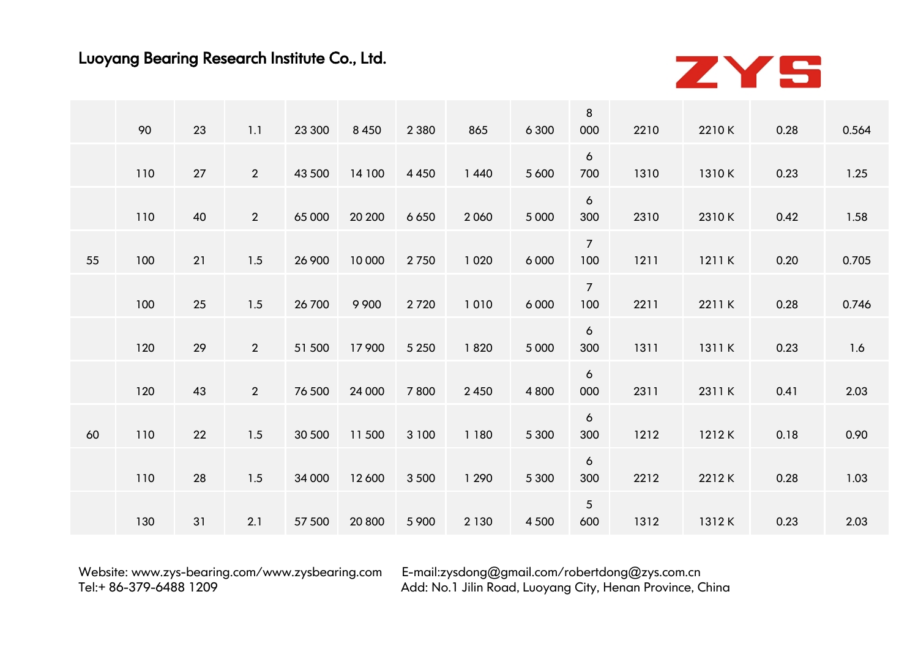

|    | 90  | 23 | 1.1            | 23 300 |         |         | 865     | 6 3 0 0 | 8<br>000               | 2210 | 2210K  | 0.28 | 0.564 |
|----|-----|----|----------------|--------|---------|---------|---------|---------|------------------------|------|--------|------|-------|
|    |     |    |                |        | 8 4 5 0 | 2 3 8 0 |         |         |                        |      |        |      |       |
|    | 110 | 27 | $\overline{2}$ | 43 500 | 14 100  | 4 4 5 0 | 1440    | 5 6 0 0 | $\mathbf{6}$<br>700    | 1310 | 1310K  | 0.23 | 1.25  |
|    | 110 | 40 | $2^{\circ}$    | 65 000 | 20 200  | 6 6 5 0 | 2060    | 5 0 0 0 | $\epsilon$<br>300      | 2310 | 2310K  | 0.42 | 1.58  |
| 55 | 100 | 21 | 1.5            | 26 900 | 10 000  | 2750    | 1 0 2 0 | 6 0 0 0 | $7\overline{ }$<br>100 | 1211 | 1211 K | 0.20 | 0.705 |
|    | 100 | 25 | 1.5            | 26 700 | 9 9 0 0 | 2720    | 1010    | 6 0 0 0 | $\overline{7}$<br>100  | 2211 | 2211K  | 0.28 | 0.746 |
|    | 120 | 29 | $\overline{2}$ | 51 500 | 17 900  | 5 2 5 0 | 1820    | 5 0 0 0 | 6<br>300               | 1311 | 1311 K | 0.23 | 1.6   |
|    | 120 | 43 | $2^{\circ}$    | 76 500 | 24 000  | 7800    | 2 4 5 0 | 4 8 0 0 | $\epsilon$<br>000      | 2311 | 2311 K | 0.41 | 2.03  |
| 60 | 110 | 22 | 1.5            | 30 500 | 11500   | 3 100   | 1 1 8 0 | 5 3 0 0 | $\mathbf{6}$<br>300    | 1212 | 1212K  | 0.18 | 0.90  |
|    | 110 | 28 | 1.5            | 34 000 | 12 600  | 3 5 0 0 | 1 2 9 0 | 5 3 0 0 | 6<br>300               | 2212 | 2212K  | 0.28 | 1.03  |
|    | 130 | 31 | 2.1            | 57 500 | 20 800  | 5 9 0 0 | 2 1 3 0 | 4 5 0 0 | 5 <sup>5</sup><br>600  | 1312 | 1312K  | 0.23 | 2.03  |
|    |     |    |                |        |         |         |         |         |                        |      |        |      |       |

Website: [www.zys-bearing.com/](http://www.zys-bearing.com)www.zysbearing.com E-mail:zysdong@gmail.com/[robertdong](mailto:robertdong@zys.com.cn)@zys.com.cn<br>Add: No.1 Jilin Road. Luoyana City. Henan Province. C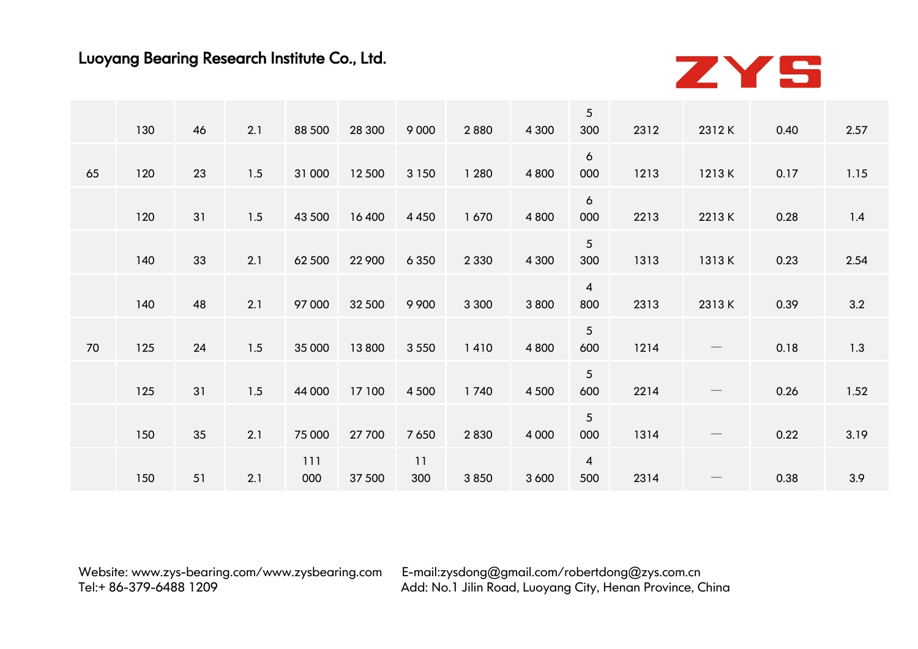

|    |     |    | 2.1 |            |        |           |         |         | $\sqrt{5}$             |      |                                 |      |      |
|----|-----|----|-----|------------|--------|-----------|---------|---------|------------------------|------|---------------------------------|------|------|
|    | 130 | 46 |     | 88 500     | 28 300 | 9 0 0 0   | 2880    | 4 3 0 0 | 300                    | 2312 | 2312K                           | 0.40 | 2.57 |
| 65 | 120 | 23 | 1.5 | 31 000     | 12 500 | 3 1 5 0   | 1 2 8 0 | 4 8 0 0 | $\epsilon$<br>000      | 1213 | 1213 K                          | 0.17 | 1.15 |
|    | 120 | 31 | 1.5 | 43 500     | 16400  | 4 4 5 0   | 1670    | 4 8 0 0 | 6<br>000               | 2213 | 2213K                           | 0.28 | 1.4  |
|    | 140 | 33 | 2.1 | 62 500     | 22 900 | 6 3 5 0   | 2 3 3 0 | 4 3 0 0 | $5\overline{)}$<br>300 | 1313 | 1313K                           | 0.23 | 2.54 |
|    | 140 | 48 | 2.1 | 97 000     | 32 500 | 9 9 0 0   | 3 3 0 0 | 3 8 0 0 | $\overline{4}$<br>800  | 2313 | 2313K                           | 0.39 | 3.2  |
| 70 | 125 | 24 | 1.5 | 35 000     | 13800  | 3 5 5 0   | 1410    | 4 8 0 0 | $5\overline{)}$<br>600 | 1214 |                                 | 0.18 | 1.3  |
|    | 125 | 31 | 1.5 | 44 000     | 17 100 | 4 5 0 0   | 1740    | 4 5 0 0 | $\overline{5}$<br>600  | 2214 | $\hspace{0.1mm}-\hspace{0.1mm}$ | 0.26 | 1.52 |
|    | 150 | 35 | 2.1 | 75 000     | 27 700 | 7 6 5 0   | 2830    | 4 0 0 0 | $5\overline{)}$<br>000 | 1314 |                                 | 0.22 | 3.19 |
|    | 150 | 51 | 2.1 | 111<br>000 | 37 500 | 11<br>300 | 3850    | 3 6 0 0 | $\overline{4}$<br>500  | 2314 |                                 | 0.38 | 3.9  |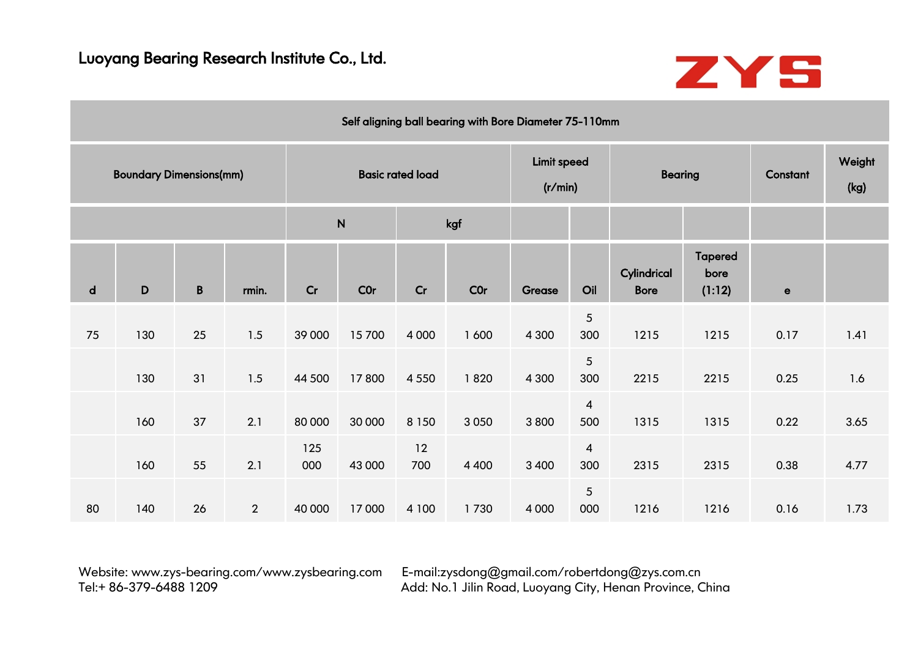

|    |                                |             |                |            |              |                         | Self aligning ball bearing with Bore Diameter 75-110mm |                        |                       |                            |                                  |             |                |
|----|--------------------------------|-------------|----------------|------------|--------------|-------------------------|--------------------------------------------------------|------------------------|-----------------------|----------------------------|----------------------------------|-------------|----------------|
|    | <b>Boundary Dimensions(mm)</b> |             |                |            |              | <b>Basic rated load</b> |                                                        | Limit speed<br>(r/min) |                       | <b>Bearing</b>             |                                  | Constant    | Weight<br>(kg) |
|    |                                |             |                |            | $\mathsf{N}$ |                         | kgf                                                    |                        |                       |                            |                                  |             |                |
| d  | D                              | $\mathbf B$ | rmin.          | Cr         | <b>COr</b>   | Cr                      | <b>COr</b>                                             | Grease                 | Oil                   | Cylindrical<br><b>Bore</b> | <b>Tapered</b><br>bore<br>(1:12) | $\mathbf e$ |                |
| 75 | 130                            | 25          | 1.5            | 39 000     | 15700        | 4 0 0 0                 | 1 600                                                  | 4 3 0 0                | $\overline{5}$<br>300 | 1215                       | 1215                             | 0.17        | 1.41           |
|    | 130                            | 31          | 1.5            | 44 500     | 17800        | 4 5 5 0                 | 1820                                                   | 4 3 0 0                | $\overline{5}$<br>300 | 2215                       | 2215                             | 0.25        | 1.6            |
|    | 160                            | 37          | 2.1            | 80 000     | 30 000       | 8 1 5 0                 | 3 0 5 0                                                | 3800                   | $\overline{4}$<br>500 | 1315                       | 1315                             | 0.22        | 3.65           |
|    | 160                            | 55          | 2.1            | 125<br>000 | 43 000       | 12<br>700               | 4 4 0 0                                                | 3 4 0 0                | $\overline{4}$<br>300 | 2315                       | 2315                             | 0.38        | 4.77           |
| 80 | 140                            | 26          | $\overline{2}$ | 40 000     | 17000        | 4 100                   | 1730                                                   | 4 0 0 0                | $\sqrt{5}$<br>000     | 1216                       | 1216                             | 0.16        | 1.73           |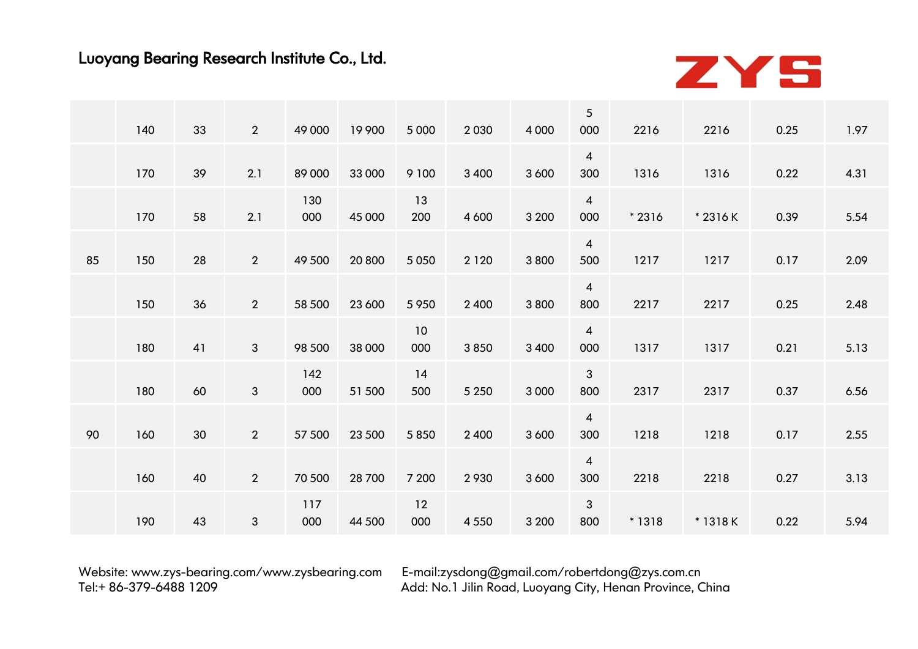

|    | 140 | 33 | $\overline{2}$ | 49 000     | 19 900 | 5 0 0 0   | 2030    | 4 0 0 0 | $\overline{5}$<br>000 | 2216    | 2216     | 0.25 | 1.97 |
|----|-----|----|----------------|------------|--------|-----------|---------|---------|-----------------------|---------|----------|------|------|
|    | 170 | 39 | 2.1            | 89 000     | 33 000 | 9 100     | 3 4 0 0 | 3 6 0 0 | $\overline{4}$<br>300 | 1316    | 1316     | 0.22 | 4.31 |
|    |     |    |                |            |        |           |         |         |                       |         |          |      |      |
|    | 170 | 58 | 2.1            | 130<br>000 | 45 000 | 13<br>200 | 4 600   | 3 2 0 0 | $\overline{4}$<br>000 | $*2316$ | * 2316 K | 0.39 | 5.54 |
| 85 | 150 | 28 | $\overline{2}$ | 49 500     | 20 800 | 5 0 5 0   | 2 1 2 0 | 3 8 0 0 | $\overline{4}$<br>500 | 1217    | 1217     | 0.17 | 2.09 |
|    | 150 | 36 | $\overline{2}$ | 58 500     | 23 600 | 5 9 5 0   | 2 4 0 0 | 3 8 0 0 | $\overline{4}$<br>800 | 2217    | 2217     | 0.25 | 2.48 |
|    |     |    |                |            |        | 10        |         |         | $\overline{4}$        |         |          |      |      |
|    | 180 | 41 | $\mathbf{3}$   | 98 500     | 38 000 | 000       | 3850    | 3 4 0 0 | 000                   | 1317    | 1317     | 0.21 | 5.13 |
|    | 180 | 60 | $\mathbf{3}$   | 142<br>000 | 51 500 | 14<br>500 | 5 2 5 0 | 3 0 0 0 | $\mathbf{3}$<br>800   | 2317    | 2317     | 0.37 | 6.56 |
| 90 | 160 | 30 | $2^{\circ}$    | 57 500     | 23 500 | 5 8 5 0   | 2 4 0 0 | 3 6 0 0 | $\overline{4}$<br>300 | 1218    | 1218     | 0.17 | 2.55 |
|    |     |    |                |            |        |           |         |         | $\overline{4}$        |         |          |      |      |
|    | 160 | 40 | $\overline{2}$ | 70 500     | 28 700 | 7 200     | 2930    | 3 6 0 0 | 300                   | 2218    | 2218     | 0.27 | 3.13 |
|    | 190 | 43 | $\mathfrak{S}$ | 117<br>000 | 44 500 | 12<br>000 | 4 5 5 0 | 3 2 0 0 | 3<br>800              | * 1318  | * 1318 K | 0.22 | 5.94 |
|    |     |    |                |            |        |           |         |         |                       |         |          |      |      |

Website: [www.zys-bearing.com/](http://www.zys-bearing.com)www.zysbearing.com E-mail:zysdong@gmail.com/[robertdong](mailto:robertdong@zys.com.cn)@zys.com.cn<br>Add: No.1 Jilin Road. Luoyana City. Henan Province. C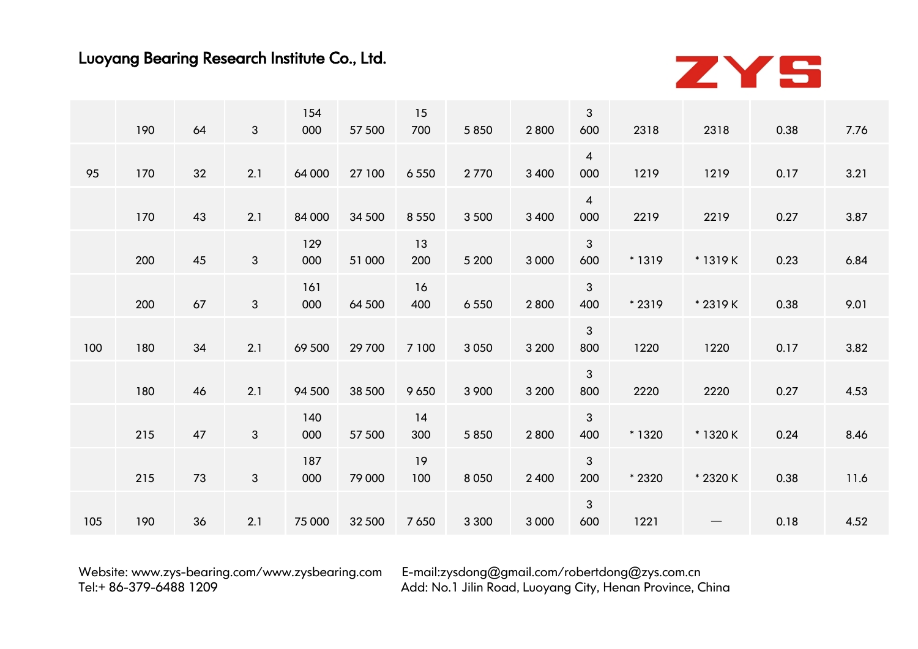

|     | 190 | 64 | $\mathbf{3}$ | 154<br>000 | 57 500 | 15<br>700 | 5 8 5 0 | 2800    | 3<br>600              | 2318   | 2318                           | 0.38 | 7.76 |
|-----|-----|----|--------------|------------|--------|-----------|---------|---------|-----------------------|--------|--------------------------------|------|------|
| 95  | 170 | 32 | 2.1          | 64 000     | 27 100 | 6 5 5 0   | 2770    | 3 4 0 0 | $\overline{4}$<br>000 | 1219   | 1219                           | 0.17 | 3.21 |
|     | 170 | 43 | 2.1          | 84 000     | 34 500 | 8 5 5 0   | 3 5 0 0 | 3 4 0 0 | $\overline{4}$<br>000 | 2219   | 2219                           | 0.27 | 3.87 |
|     | 200 | 45 | $\mathbf{3}$ | 129<br>000 | 51 000 | 13<br>200 | 5 2 0 0 | 3 0 0 0 | $\mathbf{3}$<br>600   | * 1319 | * 1319 K                       | 0.23 | 6.84 |
|     | 200 | 67 | 3            | 161<br>000 | 64 500 | 16<br>400 | 6 5 5 0 | 2800    | $\mathbf{3}$<br>400   | * 2319 | * 2319 K                       | 0.38 | 9.01 |
| 100 | 180 | 34 | 2.1          | 69 500     | 29 700 | 7 100     | 3 0 5 0 | 3 2 0 0 | $\mathbf{3}$<br>800   | 1220   | 1220                           | 0.17 | 3.82 |
|     | 180 | 46 | 2.1          | 94 500     | 38 500 | 9 6 5 0   | 3 9 0 0 | 3 2 0 0 | 3<br>800              | 2220   | 2220                           | 0.27 | 4.53 |
|     | 215 | 47 | $\mathbf{3}$ | 140<br>000 | 57 500 | 14<br>300 | 5 8 5 0 | 2800    | $\mathbf{3}$<br>400   | * 1320 | * 1320 K                       | 0.24 | 8.46 |
|     | 215 | 73 | $\mathbf{3}$ | 187<br>000 | 79 000 | 19<br>100 | 8 0 5 0 | 2 4 0 0 | $\mathbf{3}$<br>200   | * 2320 | * 2320 K                       | 0.38 | 11.6 |
| 105 | 190 | 36 | 2.1          | 75 000     | 32 500 | 7 6 5 0   | 3 3 0 0 | 3 0 0 0 | $\sqrt{3}$<br>600     | 1221   | $\qquad \qquad \longleftarrow$ | 0.18 | 4.52 |
|     |     |    |              |            |        |           |         |         |                       |        |                                |      |      |